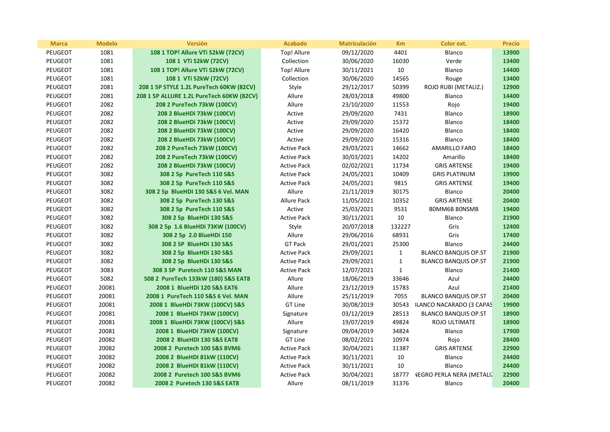| <b>Marca</b>   | <b>Modelo</b> | <b>Versión</b>                            | <b>Acabado</b>     | <b>Matriculación</b> | <b>Km</b>    | <b>Color ext.</b>                | <b>Precio</b> |
|----------------|---------------|-------------------------------------------|--------------------|----------------------|--------------|----------------------------------|---------------|
| <b>PEUGEOT</b> | 1081          | 108 1 TOP! Allure VTi 52kW (72CV)         | Top! Allure        | 09/12/2020           | 4401         | Blanco                           | 13900         |
| <b>PEUGEOT</b> | 1081          | 108 1 VTi 52kW (72CV)                     | Collection         | 30/06/2020           | 16030        | Verde                            | 13400         |
| <b>PEUGEOT</b> | 1081          | 108 1 TOP! Allure VTi 52kW (72CV)         | Top! Allure        | 30/11/2021           | 10           | Blanco                           | 14400         |
| PEUGEOT        | 1081          | 108 1 VTi 52kW (72CV)                     | Collection         | 30/06/2020           | 14565        | Rouge                            | 13400         |
| PEUGEOT        | 2081          | 208 1 5P STYLE 1.2L PureTech 60KW (82CV)  | Style              | 29/12/2017           | 50399        | ROJO RUBI (METALIZ.)             | 12900         |
| PEUGEOT        | 2081          | 208 1 5P ALLURE 1.2L PureTech 60KW (82CV) | Allure             | 28/03/2018           | 49800        | Blanco                           | 14400         |
| <b>PEUGEOT</b> | 2082          | 208 2 PureTech 73kW (100CV)               | Allure             | 23/10/2020           | 11553        | Rojo                             | 19400         |
| <b>PEUGEOT</b> | 2082          | 208 2 BlueHDi 73kW (100CV)                | Active             | 29/09/2020           | 7431         | Blanco                           | 18900         |
| PEUGEOT        | 2082          | 208 2 BlueHDi 73kW (100CV)                | Active             | 29/09/2020           | 15372        | Blanco                           | 18400         |
| PEUGEOT        | 2082          | 208 2 BlueHDi 73kW (100CV)                | Active             | 29/09/2020           | 16420        | Blanco                           | 18400         |
| <b>PEUGEOT</b> | 2082          | 208 2 BlueHDi 73kW (100CV)                | Active             | 29/09/2020           | 15316        | Blanco                           | 18400         |
| PEUGEOT        | 2082          | 208 2 PureTech 73kW (100CV)               | <b>Active Pack</b> | 29/03/2021           | 14662        | <b>AMARILLO FARO</b>             | 18400         |
| PEUGEOT        | 2082          | 208 2 PureTech 73kW (100CV)               | <b>Active Pack</b> | 30/03/2021           | 14202        | Amarillo                         | 18400         |
| <b>PEUGEOT</b> | 2082          | 208 2 BlueHDi 73kW (100CV)                | <b>Active Pack</b> | 02/02/2021           | 11734        | <b>GRIS ARTENSE</b>              | 19400         |
| <b>PEUGEOT</b> | 3082          | 308 2 5p PureTech 110 S&S                 | <b>Active Pack</b> | 24/05/2021           | 10409        | <b>GRIS PLATINUM</b>             | 19900         |
| <b>PEUGEOT</b> | 3082          | 308 2 5p PureTech 110 S&S                 | <b>Active Pack</b> | 24/05/2021           | 9815         | <b>GRIS ARTENSE</b>              | 19400         |
| <b>PEUGEOT</b> | 3082          | 308 2 5p BlueHDI 130 S&S 6 Vel. MAN       | Allure             | 21/11/2019           | 30175        | Blanco                           | 20400         |
| <b>PEUGEOT</b> | 3082          | 308 2 5p PureTech 130 S&S                 | <b>Allure Pack</b> | 11/05/2021           | 10352        | <b>GRIS ARTENSE</b>              | 20400         |
| <b>PEUGEOT</b> | 3082          | 308 2 5p PureTech 110 S&S                 | Active             | 25/03/2021           | 9531         | <b>BOMM6B BONSMB</b>             | 19400         |
| <b>PEUGEOT</b> | 3082          | 308 2 5p BlueHDi 130 S&S                  | <b>Active Pack</b> | 30/11/2021           | $10\,$       | Blanco                           | 21900         |
| PEUGEOT        | 3082          | 308 2 5p 1.6 BlueHDi 73KW (100CV)         | Style              | 20/07/2018           | 132227       | Gris                             | 12400         |
| PEUGEOT        | 3082          | 308 2 5p 2.0 BlueHDi 150                  | Allure             | 29/06/2016           | 68931        | Gris                             | 17400         |
| <b>PEUGEOT</b> | 3082          | 308 2 5P BlueHDi 130 S&S                  | <b>GT Pack</b>     | 29/01/2021           | 25300        | Blanco                           | 24400         |
| PEUGEOT        | 3082          | 308 2 5p BlueHDi 130 S&S                  | <b>Active Pack</b> | 29/09/2021           | $\mathbf{1}$ | <b>BLANCO BANQUIS OP.ST</b>      | 21900         |
| <b>PEUGEOT</b> | 3082          | 308 2 5p BlueHDi 130 S&S                  | <b>Active Pack</b> | 29/09/2021           | $\mathbf{1}$ | <b>BLANCO BANQUIS OP.ST</b>      | 21900         |
| PEUGEOT        | 3083          | 308 3 5P Puretech 110 S&S MAN             | <b>Active Pack</b> | 12/07/2021           | $\mathbf{1}$ | Blanco                           | 21400         |
| PEUGEOT        | 5082          | 508 2 PureTech 133kW (180) S&S EAT8       | Allure             | 18/06/2019           | 33646        | Azul                             | 24400         |
| PEUGEOT        | 20081         | 2008 1 BlueHDi 120 S&S EAT6               | Allure             | 23/12/2019           | 15783        | Azul                             | 21400         |
| <b>PEUGEOT</b> | 20081         | 2008 1 PureTech 110 S&S 6 Vel. MAN        | Allure             | 25/11/2019           | 7055         | <b>BLANCO BANQUIS OP.ST</b>      | 20400         |
| PEUGEOT        | 20081         | 2008 1 BlueHDi 73KW (100CV) S&S           | GT Line            | 30/08/2019           | 30543        | <b>ILANCO NACARADO (3 CAPAS</b>  | 19900         |
| PEUGEOT        | 20081         | 2008 1 BlueHDi 73KW (100CV)               | Signature          | 03/12/2019           | 28513        | <b>BLANCO BANQUIS OP.ST</b>      | 18900         |
| <b>PEUGEOT</b> | 20081         | 2008 1 BlueHDi 73KW (100CV) S&S           | Allure             | 19/07/2019           | 49824        | <b>ROJO ULTIMATE</b>             | 18900         |
| <b>PEUGEOT</b> | 20081         | 2008 1 BlueHDi 73KW (100CV)               | Signature          | 09/04/2019           | 34824        | Blanco                           | 17900         |
| <b>PEUGEOT</b> | 20082         | 2008 2 BlueHDI 130 S&S EAT8               | GT Line            | 08/02/2021           | 10974        | Rojo                             | 28400         |
| <b>PEUGEOT</b> | 20082         | 2008 2 Puretech 100 S&S BVM6              | <b>Active Pack</b> | 30/04/2021           | 11387        | <b>GRIS ARTENSE</b>              | 22900         |
| PEUGEOT        | 20082         | 2008 2 BlueHDI 81kW (110CV)               | <b>Active Pack</b> | 30/11/2021           | 10           | Blanco                           | 24400         |
| <b>PEUGEOT</b> | 20082         | 2008 2 BlueHDI 81kW (110CV)               | <b>Active Pack</b> | 30/11/2021           | 10           | Blanco                           | 24400         |
| <b>PEUGEOT</b> | 20082         | 2008 2 Puretech 100 S&S BVM6              | <b>Active Pack</b> | 30/04/2021           | 18777        | <b>VEGRO PERLA NERA (METALI)</b> | 22900         |
| <b>PEUGEOT</b> | 20082         | 2008 2 Puretech 130 S&S EAT8              | Allure             | 08/11/2019           | 31376        | Blanco                           | 20400         |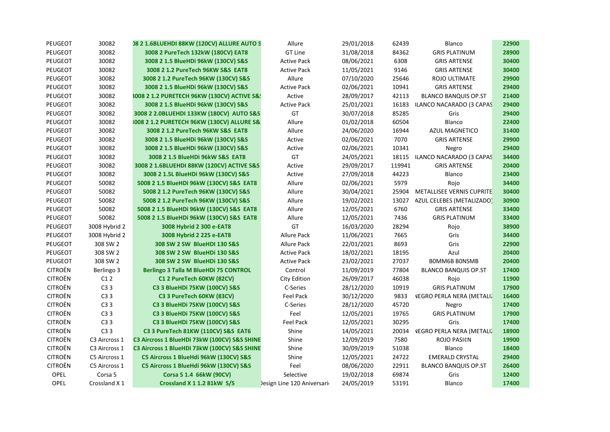| PEUGEOT        | 30082         | 08 2 1.6BLUEHDI 88KW (120CV) ALLURE AUTO S            | Allure                     | 29/01/2018 | 62439  | Blanco                           | 22900 |
|----------------|---------------|-------------------------------------------------------|----------------------------|------------|--------|----------------------------------|-------|
| PEUGEOT        | 30082         | 3008 2 PureTech 132kW (180CV) EAT8                    | GT Line                    | 31/08/2018 | 84362  | <b>GRIS PLATINUM</b>             | 28900 |
| PEUGEOT        | 30082         | 3008 2 1.5 BlueHDi 96kW (130CV) S&S                   | <b>Active Pack</b>         | 08/06/2021 | 6308   | <b>GRIS ARTENSE</b>              | 30400 |
| PEUGEOT        | 30082         | 3008 2 1.2 PureTech 96KW S&S EAT8                     | <b>Active Pack</b>         | 11/05/2021 | 9146   | <b>GRIS ARTENSE</b>              | 30400 |
| PEUGEOT        | 30082         | 3008 2 1.2 PureTech 96KW (130CV) S&S                  | Allure                     | 07/10/2020 | 25646  | ROJO ULTIMATE                    | 29900 |
| PEUGEOT        | 30082         | 3008 2 1.5 BlueHDi 96kW (130CV) S&S                   | <b>Active Pack</b>         | 02/06/2021 | 10941  | <b>GRIS ARTENSE</b>              | 29400 |
| PEUGEOT        | 30082         | 3008 2 1.2 PURETECH 96KW (130CV) ACTIVE S&!           | Active                     | 28/09/2017 | 42113  | <b>BLANCO BANQUIS OP.ST</b>      | 21400 |
| PEUGEOT        | 30082         | 3008 2 1.5 BlueHDi 96kW (130CV) S&S                   | <b>Active Pack</b>         | 25/01/2021 | 16183  | <b>3LANCO NACARADO (3 CAPAS</b>  | 29400 |
| PEUGEOT        | 30082         | 3008 2 2.0BLUEHDI 133KW (180CV) AUTO S&S              | GT                         | 30/07/2018 | 85285  | Gris                             | 29400 |
| PEUGEOT        | 30082         | <b>1008 2 1.2 PURETECH 96KW (130CV) ALLURE S&amp;</b> | Allure                     | 01/02/2018 | 60504  | Blanco                           | 22400 |
| PEUGEOT        | 30082         | 3008 2 1.2 PureTech 96KW S&S EAT8                     | Allure                     | 24/06/2020 | 16944  | <b>AZUL MAGNETICO</b>            | 31400 |
| PEUGEOT        | 30082         | 3008 2 1.5 BlueHDi 96kW (130CV) S&S                   | Active                     | 02/06/2021 | 7070   | <b>GRIS ARTENSE</b>              | 29900 |
| PEUGEOT        | 30082         | 3008 2 1.5 BlueHDi 96kW (130CV) S&S                   | Active                     | 02/06/2021 | 10341  | Negro                            | 29400 |
| PEUGEOT        | 30082         | 3008 2 1.5 BlueHDi 96kW S&S EAT8                      | GT                         | 24/05/2021 |        | 18115 3LANCO NACARADO (3 CAPAS   | 34400 |
| PEUGEOT        | 30082         | 3008 2 1.6BLUEHDI 88KW (120CV) ACTIVE S&S             | Active                     | 29/09/2017 | 119941 | <b>GRIS ARTENSE</b>              | 20400 |
| PEUGEOT        | 30082         | 3008 2 1.5L BlueHDi 96kW (130CV) S&S                  | Active                     | 27/09/2018 | 44223  | Blanco                           | 23400 |
| PEUGEOT        | 50082         | 5008 2 1.5 BlueHDi 96kW (130CV) S&S EAT8              | Allure                     | 02/06/2021 | 5979   | Rojo                             | 34400 |
| PEUGEOT        | 50082         | 5008 2 1.2 PureTech 96KW (130CV) S&S                  | Allure                     | 30/04/2021 | 25904  | METALLISEE VERNIS CUPRITE        | 30400 |
| PEUGEOT        | 50082         | 5008 2 1.2 PureTech 96KW (130CV) S&S                  | Allure                     | 19/02/2021 | 13027  | AZUL CELEBES (METALIZADO)        | 30900 |
| PEUGEOT        | 50082         | 5008 2 1.5 BlueHDi 96kW (130CV) S&S EAT8              | Allure                     | 12/05/2021 | 6760   | <b>GRIS ARTENSE</b>              | 33400 |
| PEUGEOT        | 50082         | 5008 2 1.5 BlueHDi 96kW (130CV) S&S EAT8              | Allure                     | 12/05/2021 | 7436   | <b>GRIS PLATINUM</b>             | 33400 |
| PEUGEOT        | 3008 Hybrid 2 | 3008 Hybrid 2 300 e-EAT8                              | GT                         | 16/03/2020 | 28294  | Rojo                             | 38900 |
| PEUGEOT        | 3008 Hybrid 2 | 3008 Hybrid 2 225 e-EAT8                              | Allure Pack                | 11/06/2021 | 7665   | Gris                             | 34400 |
| PEUGEOT        | 308 SW 2      | 308 SW 2 SW BlueHDI 130 S&S                           | <b>Allure Pack</b>         | 22/01/2021 | 8693   | Gris                             | 22900 |
| PEUGEOT        | 308 SW 2      | 308 SW 2 SW BlueHDi 130 S&S                           | <b>Active Pack</b>         | 18/02/2021 | 18195  | Azul                             | 20400 |
| PEUGEOT        | 308 SW 2      | 308 SW 2 SW BlueHDi 130 S&S                           | <b>Active Pack</b>         | 23/02/2021 | 27037  | <b>BOMM6B BONSMB</b>             | 20400 |
| <b>CITROËN</b> | Berlingo 3    | Berlingo 3 Talla M BlueHDi 75 CONTROL                 | Control                    | 11/09/2019 | 77804  | <b>BLANCO BANQUIS OP.ST</b>      | 17400 |
| <b>CITROËN</b> | C12           | C1 2 PureTech 60KW (82CV)                             | City Edition               | 26/09/2017 | 46038  | Rojo                             | 11900 |
| <b>CITROËN</b> | C33           | C3 3 BlueHDi 75KW (100CV) S&S                         | C-Series                   | 28/12/2020 | 10919  | <b>GRIS PLATINUM</b>             | 17900 |
| <b>CITROËN</b> | C33           | C3 3 PureTech 60KW (83CV)                             | <b>Feel Pack</b>           | 30/12/2020 | 9833   | <b>VEGRO PERLA NERA (METALI)</b> | 16400 |
| <b>CITROËN</b> | C33           | C3 3 BlueHDi 75KW (100CV) S&S                         | C-Series                   | 28/12/2020 | 45720  | Negro                            | 17400 |
| <b>CITROËN</b> | C33           | C3 3 BlueHDi 75KW (100CV) S&S                         | Feel                       | 12/05/2021 | 19765  | <b>GRIS PLATINUM</b>             | 17900 |
| <b>CITROËN</b> | C33           | C3 3 BlueHDi 75KW (100CV) S&S                         | <b>Feel Pack</b>           | 12/05/2021 | 30295  | Gris                             | 17400 |
| <b>CITROËN</b> | C33           | C3 3 PureTech 81KW (110CV) S&S EAT6                   | Shine                      | 14/05/2021 | 20034  | <b>VEGRO PERLA NERA (METALI)</b> | 18900 |
| <b>CITROËN</b> | C3 Aircross 1 | C3 Aircross 1 BlueHDi 73kW (100CV) S&S SHINE          | Shine                      | 12/09/2019 | 7580   | ROJO PASI¢N                      | 19900 |
| <b>CITROËN</b> | C3 Aircross 1 | C3 Aircross 1 BlueHDi 73kW (100CV) S&S SHINE          | Shine                      | 30/09/2019 | 51038  | Blanco                           | 18400 |
| <b>CITROËN</b> | C5 Aircross 1 | C5 Aircross 1 BlueHdi 96kW (130CV) S&S                | Shine                      | 12/05/2021 | 24722  | <b>EMERALD CRYSTAL</b>           | 29400 |
| <b>CITROËN</b> | C5 Aircross 1 | C5 Aircross 1 BlueHdi 96kW (130CV) S&S                | Feel                       | 08/06/2020 | 22911  | <b>BLANCO BANQUIS OP.ST</b>      | 26400 |
| OPEL           | Corsa 5       | Corsa 5 1.4 66kW (90CV)                               | Selective                  | 19/02/2018 | 69874  | Gris                             | 12400 |
| OPEL           | Crossland X 1 | Crossland X 1 1.2 81kW S/S                            | Design Line 120 Aniversari | 24/05/2019 | 53191  | <b>Blanco</b>                    | 17400 |